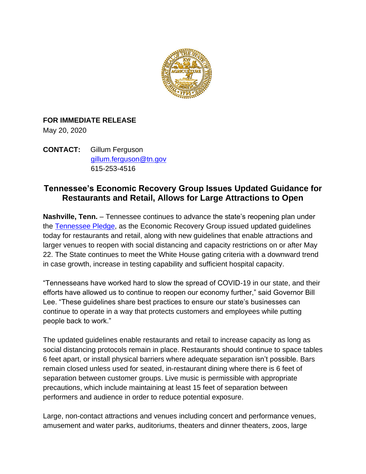

## **FOR IMMEDIATE RELEASE**

May 20, 2020

**CONTACT:** Gillum Ferguson [gillum.ferguson@tn.gov](mailto:gillum.ferguson@tn.gov) 615-253-4516

## **Tennessee's Economic Recovery Group Issues Updated Guidance for Restaurants and Retail, Allows for Large Attractions to Open**

**Nashville, Tenn.** – Tennessee continues to advance the state's reopening plan under the [Tennessee Pledge,](https://www.tn.gov/governor/covid-19/economic-recovery/tennessee-pledge.html) as the Economic Recovery Group issued updated guidelines today for restaurants and retail, along with new guidelines that enable attractions and larger venues to reopen with social distancing and capacity restrictions on or after May 22. The State continues to meet the White House gating criteria with a downward trend in case growth, increase in testing capability and sufficient hospital capacity.

"Tennesseans have worked hard to slow the spread of COVID-19 in our state, and their efforts have allowed us to continue to reopen our economy further," said Governor Bill Lee. "These guidelines share best practices to ensure our state's businesses can continue to operate in a way that protects customers and employees while putting people back to work."

The updated guidelines enable restaurants and retail to increase capacity as long as social distancing protocols remain in place. Restaurants should continue to space tables 6 feet apart, or install physical barriers where adequate separation isn't possible. Bars remain closed unless used for seated, in-restaurant dining where there is 6 feet of separation between customer groups. Live music is permissible with appropriate precautions, which include maintaining at least 15 feet of separation between performers and audience in order to reduce potential exposure.

Large, non-contact attractions and venues including concert and performance venues, amusement and water parks, auditoriums, theaters and dinner theaters, zoos, large